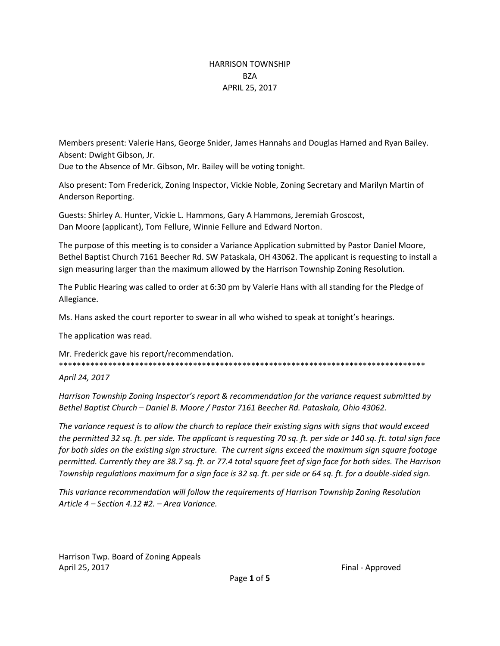### HARRISON TOWNSHIP BZA APRIL 25, 2017

Members present: Valerie Hans, George Snider, James Hannahs and Douglas Harned and Ryan Bailey. Absent: Dwight Gibson, Jr.

Due to the Absence of Mr. Gibson, Mr. Bailey will be voting tonight.

Also present: Tom Frederick, Zoning Inspector, Vickie Noble, Zoning Secretary and Marilyn Martin of Anderson Reporting.

Guests: Shirley A. Hunter, Vickie L. Hammons, Gary A Hammons, Jeremiah Groscost, Dan Moore (applicant), Tom Fellure, Winnie Fellure and Edward Norton.

The purpose of this meeting is to consider a Variance Application submitted by Pastor Daniel Moore, Bethel Baptist Church 7161 Beecher Rd. SW Pataskala, OH 43062. The applicant is requesting to install a sign measuring larger than the maximum allowed by the Harrison Township Zoning Resolution.

The Public Hearing was called to order at 6:30 pm by Valerie Hans with all standing for the Pledge of Allegiance.

Ms. Hans asked the court reporter to swear in all who wished to speak at tonight's hearings.

The application was read.

Mr. Frederick gave his report/recommendation. \*\*\*\*\*\*\*\*\*\*\*\*\*\*\*\*\*\*\*\*\*\*\*\*\*\*\*\*\*\*\*\*\*\*\*\*\*\*\*\*\*\*\*\*\*\*\*\*\*\*\*\*\*\*\*\*\*\*\*\*\*\*\*\*\*\*\*\*\*\*\*\*\*\*\*\*\*\*\*\*\*\*

*April 24, 2017*

*Harrison Township Zoning Inspector's report & recommendation for the variance request submitted by Bethel Baptist Church – Daniel B. Moore / Pastor 7161 Beecher Rd. Pataskala, Ohio 43062.* 

*The variance request is to allow the church to replace their existing signs with signs that would exceed the permitted 32 sq. ft. per side. The applicant is requesting 70 sq. ft. per side or 140 sq. ft. total sign face for both sides on the existing sign structure. The current signs exceed the maximum sign square footage permitted. Currently they are 38.7 sq. ft. or 77.4 total square feet of sign face for both sides. The Harrison Township regulations maximum for a sign face is 32 sq. ft. per side or 64 sq. ft. for a double-sided sign.* 

*This variance recommendation will follow the requirements of Harrison Township Zoning Resolution Article 4 – Section 4.12 #2. – Area Variance.*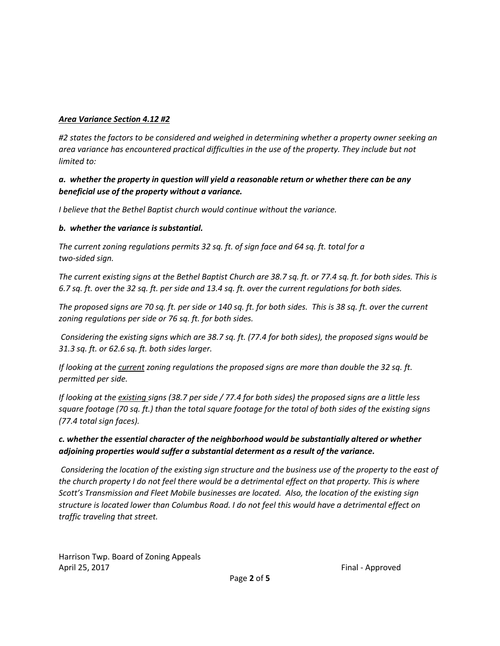#### *Area Variance Section 4.12 #2*

*#2 states the factors to be considered and weighed in determining whether a property owner seeking an area variance has encountered practical difficulties in the use of the property. They include but not limited to:*

### *a. whether the property in question will yield a reasonable return or whether there can be any beneficial use of the property without a variance.*

*I believe that the Bethel Baptist church would continue without the variance.*

#### *b. whether the variance is substantial.*

*The current zoning regulations permits 32 sq. ft. of sign face and 64 sq. ft. total for a two-sided sign.* 

*The current existing signs at the Bethel Baptist Church are 38.7 sq. ft. or 77.4 sq. ft. for both sides. This is 6.7 sq. ft. over the 32 sq. ft. per side and 13.4 sq. ft. over the current regulations for both sides.* 

*The proposed signs are 70 sq. ft. per side or 140 sq. ft. for both sides. This is 38 sq. ft. over the current zoning regulations per side or 76 sq. ft. for both sides.* 

*Considering the existing signs which are 38.7 sq. ft. (77.4 for both sides), the proposed signs would be 31.3 sq. ft. or 62.6 sq. ft. both sides larger.* 

*If looking at the current zoning regulations the proposed signs are more than double the 32 sq. ft. permitted per side.* 

*If looking at the existing signs (38.7 per side / 77.4 for both sides) the proposed signs are a little less square footage (70 sq. ft.) than the total square footage for the total of both sides of the existing signs (77.4 total sign faces).*

# *c. whether the essential character of the neighborhood would be substantially altered or whether adjoining properties would suffer a substantial determent as a result of the variance.*

*Considering the location of the existing sign structure and the business use of the property to the east of the church property I do not feel there would be a detrimental effect on that property. This is where Scott's Transmission and Fleet Mobile businesses are located. Also, the location of the existing sign structure is located lower than Columbus Road. I do not feel this would have a detrimental effect on traffic traveling that street.*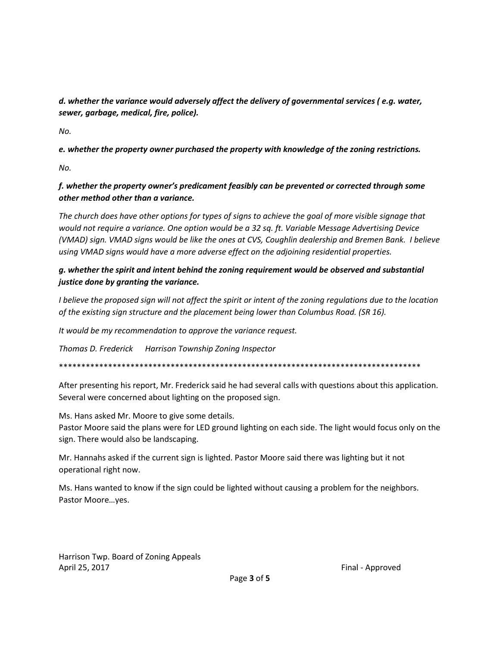*d. whether the variance would adversely affect the delivery of governmental services ( e.g. water, sewer, garbage, medical, fire, police).*

*No.*

*e. whether the property owner purchased the property with knowledge of the zoning restrictions.*

*No.*

## *f. whether the property owner's predicament feasibly can be prevented or corrected through some other method other than a variance.*

*The church does have other options for types of signs to achieve the goal of more visible signage that would not require a variance. One option would be a 32 sq. ft. Variable Message Advertising Device (VMAD) sign. VMAD signs would be like the ones at CVS, Coughlin dealership and Bremen Bank. I believe using VMAD signs would have a more adverse effect on the adjoining residential properties.* 

## *g. whether the spirit and intent behind the zoning requirement would be observed and substantial justice done by granting the variance.*

*I believe the proposed sign will not affect the spirit or intent of the zoning regulations due to the location of the existing sign structure and the placement being lower than Columbus Road. (SR 16).*

*It would be my recommendation to approve the variance request.*

*Thomas D. Frederick Harrison Township Zoning Inspector*

\*\*\*\*\*\*\*\*\*\*\*\*\*\*\*\*\*\*\*\*\*\*\*\*\*\*\*\*\*\*\*\*\*\*\*\*\*\*\*\*\*\*\*\*\*\*\*\*\*\*\*\*\*\*\*\*\*\*\*\*\*\*\*\*\*\*\*\*\*\*\*\*\*\*\*\*\*\*\*\*\*

After presenting his report, Mr. Frederick said he had several calls with questions about this application. Several were concerned about lighting on the proposed sign.

Ms. Hans asked Mr. Moore to give some details.

Pastor Moore said the plans were for LED ground lighting on each side. The light would focus only on the sign. There would also be landscaping.

Mr. Hannahs asked if the current sign is lighted. Pastor Moore said there was lighting but it not operational right now.

Ms. Hans wanted to know if the sign could be lighted without causing a problem for the neighbors. Pastor Moore…yes.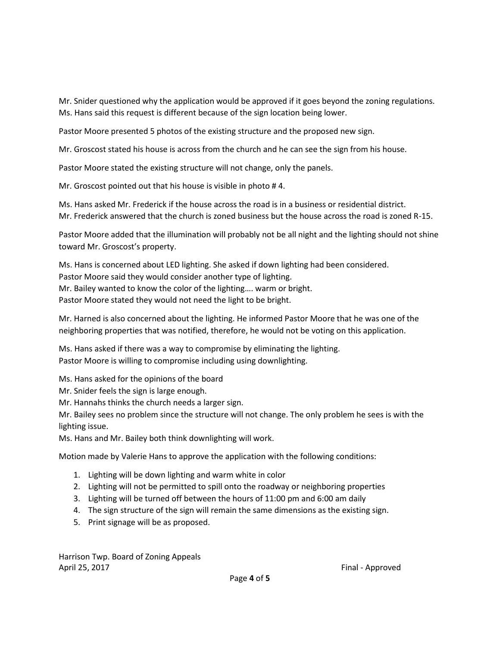Mr. Snider questioned why the application would be approved if it goes beyond the zoning regulations. Ms. Hans said this request is different because of the sign location being lower.

Pastor Moore presented 5 photos of the existing structure and the proposed new sign.

Mr. Groscost stated his house is across from the church and he can see the sign from his house.

Pastor Moore stated the existing structure will not change, only the panels.

Mr. Groscost pointed out that his house is visible in photo # 4.

Ms. Hans asked Mr. Frederick if the house across the road is in a business or residential district. Mr. Frederick answered that the church is zoned business but the house across the road is zoned R-15.

Pastor Moore added that the illumination will probably not be all night and the lighting should not shine toward Mr. Groscost's property.

Ms. Hans is concerned about LED lighting. She asked if down lighting had been considered. Pastor Moore said they would consider another type of lighting. Mr. Bailey wanted to know the color of the lighting…. warm or bright. Pastor Moore stated they would not need the light to be bright.

Mr. Harned is also concerned about the lighting. He informed Pastor Moore that he was one of the neighboring properties that was notified, therefore, he would not be voting on this application.

Ms. Hans asked if there was a way to compromise by eliminating the lighting. Pastor Moore is willing to compromise including using downlighting.

Ms. Hans asked for the opinions of the board

Mr. Snider feels the sign is large enough.

Mr. Hannahs thinks the church needs a larger sign.

Mr. Bailey sees no problem since the structure will not change. The only problem he sees is with the lighting issue.

Ms. Hans and Mr. Bailey both think downlighting will work.

Motion made by Valerie Hans to approve the application with the following conditions:

- 1. Lighting will be down lighting and warm white in color
- 2. Lighting will not be permitted to spill onto the roadway or neighboring properties
- 3. Lighting will be turned off between the hours of 11:00 pm and 6:00 am daily
- 4. The sign structure of the sign will remain the same dimensions as the existing sign.
- 5. Print signage will be as proposed.